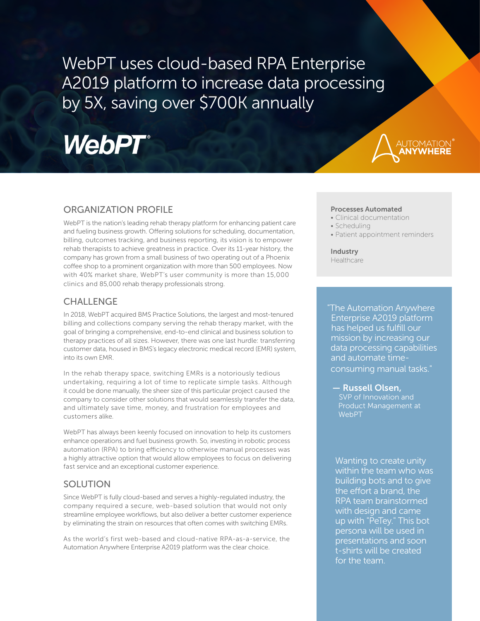WebPT uses cloud-based RPA Enterprise A2019 platform to increase data processing by 5X, saving over \$700K annually

# **WebPT**®



## ORGANIZATION PROFILE

WebPT is the nation's leading rehab therapy platform for enhancing patient care and fueling business growth. Offering solutions for scheduling, documentation, billing, outcomes tracking, and business reporting, its vision is to empower rehab therapists to achieve greatness in practice. Over its 11-year history, the company has grown from a small business of two operating out of a Phoenix coffee shop to a prominent organization with more than 500 employees. Now with 40% market share, WebPT's user community is more than 15,000 clinics and 85,000 rehab therapy professionals strong.

## CHALLENGE

In 2018, WebPT acquired BMS Practice Solutions, the largest and most-tenured billing and collections company serving the rehab therapy market, with the goal of bringing a comprehensive, end-to-end clinical and business solution to therapy practices of all sizes. However, there was one last hurdle: transferring customer data, housed in BMS's legacy electronic medical record (EMR) system, into its own EMR.

In the rehab therapy space, switching EMRs is a notoriously tedious undertaking, requiring a lot of time to replicate simple tasks. Although it could be done manually, the sheer size of this particular project caused the company to consider other solutions that would seamlessly transfer the data, and ultimately save time, money, and frustration for employees and customers alike.

WebPT has always been keenly focused on innovation to help its customers enhance operations and fuel business growth. So, investing in robotic process automation (RPA) to bring efficiency to otherwise manual processes was a highly attractive option that would allow employees to focus on delivering fast service and an exceptional customer experience.

## SOLUTION

Since WebPT is fully cloud-based and serves a highly-regulated industry, the company required a secure, web-based solution that would not only streamline employee workflows, but also deliver a better customer experience by eliminating the strain on resources that often comes with switching EMRs.

As the world's first web-based and cloud-native RPA-as-a-service, the Automation Anywhere Enterprise A2019 platform was the clear choice.

### Processes Automated

- Clinical documentation
- Scheduling
- Patient appointment reminders

Industry Healthcare

"The Automation Anywhere Enterprise A2019 platform has helped us fulfill our mission by increasing our data processing capabilities and automate timeconsuming manual tasks."

— Russell Olsen, SVP of Innovation and Product Management at **WebPT** 

Wanting to create unity within the team who was building bots and to give the effort a brand, the RPA team brainstormed with design and came up with "PeTey." This bot persona will be used in presentations and soon t-shirts will be created for the team.